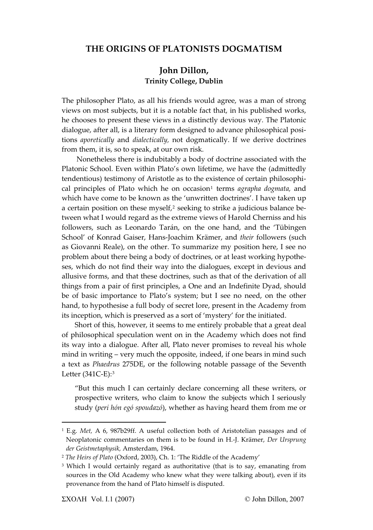## THE ORIGINS OF PLATONISTS DOGMATISM **THE ORIGINS OF PLATONISTS DOGMATISM**

## **John** Dillon, **Trinity College, Dublin**

The philosopher Plato, as all his friends would agree, was a man of strong views on most subjects, but it is a notable fact that, in his published works, he chooses to present these views in a distinctly devious way. The Platonic dialogue, after all, is a literary form designed to advance philosophical positions *aporetically* and *dialectically,* not dogmatically. If we derive doctrines from them, it is, so to speak, at our own risk.

Nonetheless there is indubitably a body of doctrine associated with the Platonic School. Even within Plato's own lifetime, we have the (admittedly tendentious) testimony of Aristotle as to the existence of certain philosophical principles of Plato which he on occasion<sup>1</sup> terms *agrapha dogmata*, and which have come to be known as the 'unwritten doctrines'. I have taken up a certain position on these myself,<sup>2</sup> seeking to strike a judicious balance between what I would regard as the extreme views of Harold Cherniss and his followers, such as Leonardo Tarán, on the one hand, and the 'Tübingen School' of Konrad Gaiser, Hans-Joachim Krämer, and *their* followers (such as Giovanni Reale), on the other. To summarize my position here, I see no problem about there being a body of doctrines, or at least working hypotheses, which do not find their way into the dialogues, except in devious and allusive forms, and that these doctrines, such as that of the derivation of all things from a pair of first principles, a One and an Indefinite Dyad, should be of basic importance to Plato's system; but I see no need, on the other hand, to hypothesise a full body of secret lore, present in the Academy from its inception, which is preserved as a sort of 'mystery' for the initiated.

Short of this, however, it seems to me entirely probable that a great deal of philosophical speculation went on in the Academy which does not find its way into a dialogue. After all, Plato never promises to reveal his whole mind in writing – very much the opposite, indeed, if one bears in mind such a text as *Phaedrus* 275DE, or the following notable passage of the Seventh Letter  $(341C-E):$ <sup>3</sup>

"But this much I can certainly declare concerning all these writers, or prospective writers, who claim to know the subjects which I seriously study (*peri hón egó spoudazó*), whether as having heard them from me or

<sup>1</sup> E.g. *Met,* A 6, 987b29ff. A useful collection both of Aristotelian passages and of Neoplatonic commentaries on them is to be found in H.ȬJ. Krämer, *Der Ursprung der Geistmetaphysik,* Amsterdam, 1964.

<sup>2</sup> *The Heirs of Plato* (Oxford, 2003), Ch. 1: 'The Riddle of the Academy'

<sup>&</sup>lt;sup>3</sup> Which I would certainly regard as authoritative (that is to say, emanating from sources in the Old Academy who knew what they were talking about), even if its provenance from the hand of Plato himself is disputed.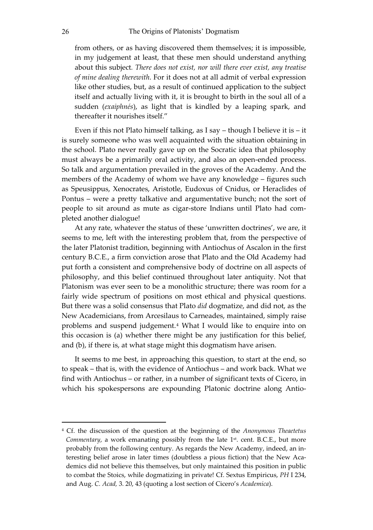from others, or as having discovered them themselves; it is impossible, in my judgement at least, that these men should understand anything about this subject*. There does not exist, nor will there ever exist, any treatise of mine dealing therewith*. For it does not at all admit of verbal expression like other studies, but, as a result of continued application to the subject itself and actually living with it, it is brought to birth in the soul all of a sudden (*exaiphnés*), as light that is kindled by a leaping spark, and thereafter it nourishes itself."

Even if this not Plato himself talking, as I say – though I believe it is – it is surely someone who was well acquainted with the situation obtaining in the school. Plato never really gave up on the Socratic idea that philosophy must always be a primarily oral activity, and also an open-ended process. So talk and argumentation prevailed in the groves of the Academy. And the members of the Academy of whom we have any knowledge – figures such as Speusippus, Xenocrates, Aristotle, Eudoxus of Cnidus, or Heraclides of Pontus – were a pretty talkative and argumentative bunch; not the sort of people to sit around as mute as cigar-store Indians until Plato had completed another dialogue!

At any rate, whatever the status of these 'unwritten doctrines', we are, it seems to me, left with the interesting problem that, from the perspective of the later Platonist tradition, beginning with Antiochus of Ascalon in the first century B.C.E., a firm conviction arose that Plato and the Old Academy had put forth a consistent and comprehensive body of doctrine on all aspects of philosophy, and this belief continued throughout later antiquity. Not that Platonism was ever seen to be a monolithic structure; there was room for a fairly wide spectrum of positions on most ethical and physical questions. But there was a solid consensus that Plato *did* dogmatize, and did not, as the New Academicians, from Arcesilaus to Carneades, maintained, simply raise problems and suspend judgement.4 What I would like to enquire into on this occasion is (a) whether there might be any justification for this belief, and (b), if there is, at what stage might this dogmatism have arisen.

It seems to me best, in approaching this question, to start at the end, so to speak – that is, with the evidence of Antiochus – and work back. What we find with Antiochus – or rather, in a number of significant texts of Cicero, in which his spokespersons are expounding Platonic doctrine along Antio-

<sup>4</sup> Cf. the discussion of the question at the beginning of the *Anonymous Theaetetus Commentary*, a work emanating possibly from the late 1<sup>st</sup>. cent. B.C.E., but more probably from the following century. As regards the New Academy, indeed, an interesting belief arose in later times (doubtless a pious fiction) that the New Academics did not believe this themselves, but only maintained this position in public to combat the Stoics, while dogmatizing in private! Cf. Sextus Empiricus, *PH* I 234, and Aug. *C. Acad,* 3. 20, 43 (quoting a lost section of Cicero's *Academica*).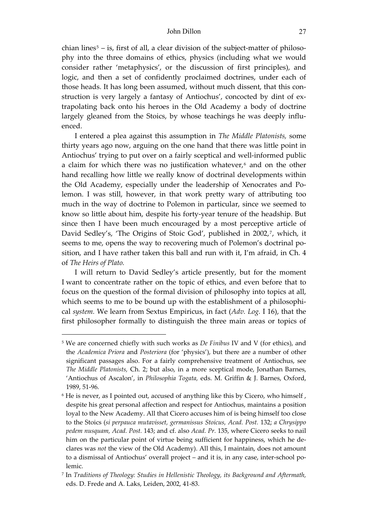chian lines<sup> $5$ </sup> – is, first of all, a clear division of the subject-matter of philosophy into the three domains of ethics, physics (including what we would consider rather 'metaphysics', or the discussion of first principles), and logic, and then a set of confidently proclaimed doctrines, under each of those heads. It has long been assumed, without much dissent, that this construction is very largely a fantasy of Antiochus', concocted by dint of extrapolating back onto his heroes in the Old Academy a body of doctrine largely gleaned from the Stoics, by whose teachings he was deeply influenced.

I entered a plea against this assumption in *The Middle Platonists,* some thirty years ago now, arguing on the one hand that there was little point in Antiochus' trying to put over on a fairly sceptical and well-informed public a claim for which there was no justification whatever, $6$  and on the other hand recalling how little we really know of doctrinal developments within the Old Academy, especially under the leadership of Xenocrates and Polemon. I was still, however, in that work pretty wary of attributing too much in the way of doctrine to Polemon in particular, since we seemed to know so little about him, despite his forty-year tenure of the headship. But since then I have been much encouraged by a most perceptive article of David Sedley's, 'The Origins of Stoic God', published in 2002,7, which, it seems to me, opens the way to recovering much of Polemon's doctrinal position, and I have rather taken this ball and run with it, I'm afraid, in Ch. 4 of *The Heirs of Plato.*

I will return to David Sedley's article presently, but for the moment I want to concentrate rather on the topic of ethics, and even before that to focus on the question of the formal division of philosophy into topics at all, which seems to me to be bound up with the establishment of a philosophical *system.* We learn from Sextus Empiricus, in fact (*Adv. Log.* I 16), that the first philosopher formally to distinguish the three main areas or topics of

<sup>5</sup> We are concerned chiefly with such works as *De Finibus* IV and V (for ethics), and the *Academica Priora* and *Posteriora* (for 'physics'), but there are a number of other significant passages also. For a fairly comprehensive treatment of Antiochus, see *The Middle Platonists,* Ch. 2; but also, in a more sceptical mode, Jonathan Barnes, 'Antiochus of Ascalon', in *Philosophia Togata,* eds. M. Griffin & J. Barnes, Oxford, 1989, 51Ȭ96.

<sup>&</sup>lt;sup>6</sup> He is never, as I pointed out, accused of anything like this by Cicero, who himself, despite his great personal affection and respect for Antiochus, maintains a position loyal to the New Academy. All that Cicero accuses him of is being himself too close to the Stoics (*si perpauca mutavisset, germanissus Stoicus, Acad. Post.* 132; *a Chrysippo pedem nusquam, Acad. Post.* 143; and cf. also *Acad. Pr.* 135, where Cicero seeks to nail him on the particular point of virtue being sufficient for happiness, which he declares was *not* the view of the Old Academy). All this, I maintain, does not amount to a dismissal of Antiochus' overall project – and it is, in any case, inter-school polemic.

<sup>7</sup> In *Traditions of Theology: Studies in Hellenistic Theology, its Background and Aftermath,* eds. D. Frede and A. Laks, Leiden, 2002, 41-83.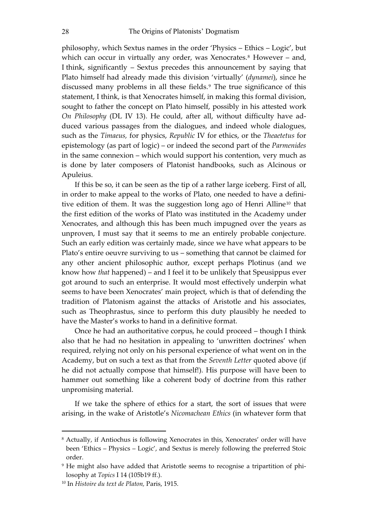philosophy, which Sextus names in the order 'Physics – Ethics – Logic', but which can occur in virtually any order, was Xenocrates.<sup>8</sup> However – and, I think, significantly – Sextus precedes this announcement by saying that Plato himself had already made this division 'virtually' (*dynamei*), since he discussed many problems in all these fields.<sup>9</sup> The true significance of this statement, I think, is that Xenocrates himself, in making this formal division, sought to father the concept on Plato himself, possibly in his attested work *On Philosophy* (DL IV 13). He could, after all, without difficulty have adduced various passages from the dialogues, and indeed whole dialogues, such as the *Timaeus,* for physics, *Republic* IV for ethics, or the *Theaetetus* for epistemology (as part of logic) – or indeed the second part of the *Parmenides* in the same connexion – which would support his contention, very much as is done by later composers of Platonist handbooks, such as Alcinous or Apuleius.

If this be so, it can be seen as the tip of a rather large iceberg. First of all, in order to make appeal to the works of Plato, one needed to have a definitive edition of them. It was the suggestion long ago of Henri Alline<sup>10</sup> that the first edition of the works of Plato was instituted in the Academy under Xenocrates, and although this has been much impugned over the years as unproven, I must say that it seems to me an entirely probable conjecture. Such an early edition was certainly made, since we have what appears to be Plato's entire oeuvre surviving to us – something that cannot be claimed for any other ancient philosophic author, except perhaps Plotinus (and we know how *that* happened) – and I feel it to be unlikely that Speusippus ever got around to such an enterprise. It would most effectively underpin what seems to have been Xenocrates' main project, which is that of defending the tradition of Platonism against the attacks of Aristotle and his associates, such as Theophrastus, since to perform this duty plausibly he needed to have the Master's works to hand in a definitive format.

Once he had an authoritative corpus, he could proceed – though I think also that he had no hesitation in appealing to 'unwritten doctrines' when required, relying not only on his personal experience of what went on in the Academy, but on such a text as that from the *Seventh Letter* quoted above (if he did not actually compose that himself!). His purpose will have been to hammer out something like a coherent body of doctrine from this rather unpromising material.

If we take the sphere of ethics for a start, the sort of issues that were arising, in the wake of Aristotle's *Nicomachean Ethics* (in whatever form that

<sup>8</sup> Actually, if Antiochus is following Xenocrates in this, Xenocrates' order will have been 'Ethics – Physics – Logic', and Sextus is merely following the preferred Stoic order.

<sup>&</sup>lt;sup>9</sup> He might also have added that Aristotle seems to recognise a tripartition of philosophy at *Topics* I 14 (105b19 ff.).

<sup>10</sup> In *Histoire du text de Platon,* Paris, 1915.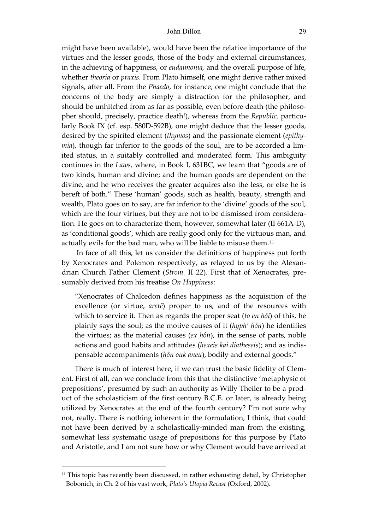might have been available), would have been the relative importance of the virtues and the lesser goods, those of the body and external circumstances, in the achieving of happiness, or *eudaimonia,* and the overall purpose of life, whether *theoria* or *praxis.* From Plato himself, one might derive rather mixed signals, after all. From the *Phaedo*, for instance, one might conclude that the concerns of the body are simply a distraction for the philosopher, and should be unhitched from as far as possible, even before death (the philosopher should, precisely, practice death!), whereas from the *Republic*, particularly Book IX (cf. esp. 580D-592B), one might deduce that the lesser goods, desired by the spirited element (*thymos*) and the passionate element (*epithymia*), though far inferior to the goods of the soul, are to be accorded a limited status, in a suitably controlled and moderated form. This ambiguity continues in the *Laws,* where, in Book I, 631BC, we learn that "goods are of two kinds, human and divine; and the human goods are dependent on the divine, and he who receives the greater acquires also the less, or else he is bereft of both." These 'human' goods, such as health, beauty, strength and wealth, Plato goes on to say, are far inferior to the 'divine' goods of the soul, which are the four virtues, but they are not to be dismissed from consideration. He goes on to characterize them, however, somewhat later (II 661A-D), as 'conditional goods', which are really good only for the virtuous man, and actually evils for the bad man, who will be liable to misuse them. <sup>11</sup>

In face of all this, let us consider the definitions of happiness put forth by Xenocrates and Polemon respectively, as relayed to us by the Alexandrian Church Father Clement (*Strom.* II 22). First that of Xenocrates, presumably derived from his treatise *On Happiness*:

"Xenocrates of Chalcedon defines happiness as the acquisition of the excellence (or virtue, *aretê*) proper to us, and of the resources with which to service it. Then as regards the proper seat (*to en hôi*) of this, he plainly says the soul; as the motive causes of it (*hyph' hôn*) he identifies the virtues; as the material causes (*ex hôn*), in the sense of parts, noble actions and good habits and attitudes (hexeis kai diatheseis); and as indispensable accompaniments (*hôn ouk aneu*), bodily and external goods."

There is much of interest here, if we can trust the basic fidelity of Clement. First of all, can we conclude from this that the distinctive 'metaphysic of prepositions', presumed by such an authority as Willy Theiler to be a product of the scholasticism of the first century B.C.E. or later, is already being utilized by Xenocrates at the end of the fourth century? I'm not sure why not, really. There is nothing inherent in the formulation, I think, that could not have been derived by a scholastically-minded man from the existing, somewhat less systematic usage of prepositions for this purpose by Plato and Aristotle, and I am not sure how or why Clement would have arrived at

<sup>&</sup>lt;sup>11</sup> This topic has recently been discussed, in rather exhausting detail, by Christopher Bobonich, in Ch. 2 of his vast work, *Plato's Utopia Recast* (Oxford, 2002).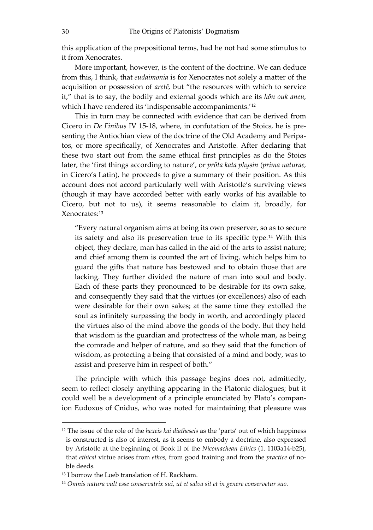this application of the prepositional terms, had he not had some stimulus to it from Xenocrates.

More important, however, is the content of the doctrine. We can deduce from this, I think, that *eudaimonia* is for Xenocrates not solely a matter of the acquisition or possession of *aretê,* but "the resources with which to service it," that is to say, the bodily and external goods which are its *hôn ouk aneu,* which I have rendered its 'indispensable accompaniments.'<sup>12</sup>

This in turn may be connected with evidence that can be derived from Cicero in *De Finibus* IV 15-18, where, in confutation of the Stoics, he is presenting the Antiochian view of the doctrine of the Old Academy and Peripatos, or more specifically, of Xenocrates and Aristotle. After declaring that these two start out from the same ethical first principles as do the Stoics later, the 'first things according to nature', or *prôta kata physin* (*prima naturae,* in Cicero's Latin), he proceeds to give a summary of their position. As this account does not accord particularly well with Aristotle's surviving views (though it may have accorded better with early works of his available to Cicero, but not to us), it seems reasonable to claim it, broadly, for Xenocrates:13

"Every natural organism aims at being its own preserver, so as to secure its safety and also its preservation true to its specific type.14 With this object, they declare, man has called in the aid of the arts to assist nature; and chief among them is counted the art of living, which helps him to guard the gifts that nature has bestowed and to obtain those that are lacking. They further divided the nature of man into soul and body. Each of these parts they pronounced to be desirable for its own sake, and consequently they said that the virtues (or excellences) also of each were desirable for their own sakes; at the same time they extolled the soul as infinitely surpassing the body in worth, and accordingly placed the virtues also of the mind above the goods of the body. But they held that wisdom is the guardian and protectress of the whole man, as being the comrade and helper of nature, and so they said that the function of wisdom, as protecting a being that consisted of a mind and body, was to assist and preserve him in respect of both."

The principle with which this passage begins does not, admittedly, seem to reflect closely anything appearing in the Platonic dialogues; but it could well be a development of a principle enunciated by Plato's companion Eudoxus of Cnidus, who was noted for maintaining that pleasure was

<sup>12</sup> The issue of the role of the *hexeis kai diatheseis* as the 'parts' out of which happiness is constructed is also of interest, as it seems to embody a doctrine, also expressed by Aristotle at the beginning of Book II of the *Nicomachean Ethics* (1. 1103a14-b25), that *ethical* virtue arises from *ethos*, from good training and from the *practice* of noble deeds.

<sup>13</sup> I borrow the Loeb translation of H. Rackham.

<sup>14</sup> *Omnis natura vult esse conservatrix sui, ut et salva sit et in genere conservetur suo.*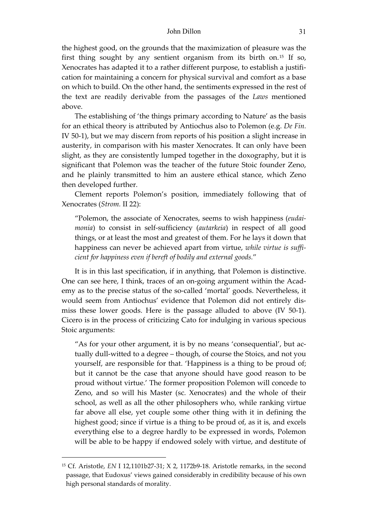the highest good, on the grounds that the maximization of pleasure was the first thing sought by any sentient organism from its birth on.15 If so, Xenocrates has adapted it to a rather different purpose, to establish a justification for maintaining a concern for physical survival and comfort as a base on which to build. On the other hand, the sentiments expressed in the rest of the text are readily derivable from the passages of the *Laws* mentioned above.

The establishing of 'the things primary according to Nature' as the basis for an ethical theory is attributed by Antiochus also to Polemon (e.g. *De Fin.* IV 50-1), but we may discern from reports of his position a slight increase in austerity, in comparison with his master Xenocrates. It can only have been slight, as they are consistently lumped together in the doxography, but it is significant that Polemon was the teacher of the future Stoic founder Zeno, and he plainly transmitted to him an austere ethical stance, which Zeno then developed further.

Clement reports Polemon's position, immediately following that of Xenocrates (*Strom.* II 22):

"Polemon, the associate of Xenocrates, seems to wish happiness (eudai*monia*) to consist in self-sufficiency (*autarkeia*) in respect of all good things, or at least the most and greatest of them. For he lays it down that happiness can never be achieved apart from virtue, *while virtue* is suffi*cient for happiness even if bereft of bodily and external goods.*"

It is in this last specification, if in anything, that Polemon is distinctive. One can see here, I think, traces of an on-going argument within the Academy as to the precise status of the so-called 'mortal' goods. Nevertheless, it would seem from Antiochus' evidence that Polemon did not entirely dismiss these lower goods. Here is the passage alluded to above (IV 50-1). Cicero is in the process of criticizing Cato for indulging in various specious Stoic arguments:

"As for your other argument, it is by no means 'consequential', but actually dull-witted to a degree – though, of course the Stoics, and not you yourself, are responsible for that. 'Happiness is a thing to be proud of; but it cannot be the case that anyone should have good reason to be proud without virtue.' The former proposition Polemon will concede to Zeno, and so will his Master (sc. Xenocrates) and the whole of their school, as well as all the other philosophers who, while ranking virtue far above all else, yet couple some other thing with it in defining the highest good; since if virtue is a thing to be proud of, as it is, and excels everything else to a degree hardly to be expressed in words, Polemon will be able to be happy if endowed solely with virtue, and destitute of

<sup>&</sup>lt;sup>15</sup> Cf. Aristotle, *EN* I 12,1101b27-31; *X* 2, 1172b9-18. Aristotle remarks, in the second passage, that Eudoxus' views gained considerably in credibility because of his own high personal standards of morality.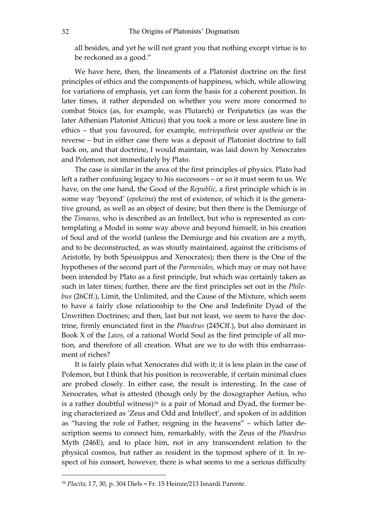all besides, and yet he will not grant you that nothing except virtue is to be reckoned as a good."

We have here, then, the lineaments of a Platonist doctrine on the first principles of ethics and the components of happiness, which, while allowing for variations of emphasis, yet can form the basis for a coherent position. In later times, it rather depended on whether you were more concerned to combat Stoics (as, for example, was Plutarch) or Peripatetics (as was the later Athenian Platonist Atticus) that you took a more or less austere line in ethics – that you favoured, for example, *metriopatheia* over *apatheia* or the reverse – but in either case there was a deposit of Platonist doctrine to fall back on, and that doctrine, I would maintain, was laid down by Xenocrates and Polemon, not immediately by Plato.

The case is similar in the area of the first principles of physics. Plato had left a rather confusing legacy to his successors – or so it must seem to us. We have, on the one hand, the Good of the *Republic,* a first principle which is in some way 'beyond' (*epekeina*) the rest of existence, of which it is the generative ground, as well as an object of desire; but then there is the Demiurge of the *Timaeus*, who is described as an Intellect, but who is represented as contemplating a Model in some way above and beyond himself, in his creation of Soul and of the world (unless the Demiurge and his creation are a myth, and to be deconstructed, as was stoutly maintained, against the criticisms of Aristotle, by both Speusippus and Xenocrates); then there is the One of the hypotheses of the second part of the *Parmenides,* which may or may not have been intended by Plato as a first principle, but which was certainly taken as such in later times; further, there are the first principles set out in the *Philebus* (26Cff.), Limit, the Unlimited, and the Cause of the Mixture, which seem to have a fairly close relationship to the One and Indefinite Dyad of the Unwritten Doctrines; and then, last but not least, we seem to have the doctrine, firmly enunciated first in the *Phaedrus* (245Cff.), but also dominant in Book X of the *Laws*, of a rational World Soul as the first principle of all motion, and therefore of all creation. What are we to do with this embarrassment of riches?

It is fairly plain what Xenocrates did with it; it is less plain in the case of Polemon, but I think that his position is recoverable, if certain minimal clues are probed closely. In either case, the result is interesting. In the case of Xenocrates, what is attested (though only by the doxographer Aetius, who is a rather doubtful witness)<sup>16</sup> is a pair of Monad and Dyad, the former being characterized as 'Zeus and Odd and Intellect', and spoken of in addition as "having the role of Father, reigning in the heavens" – which latter description seems to connect him, remarkably, with the Zeus of the *Phaedrus* Myth (246E), and to place him, not in any transcendent relation to the physical cosmos, but rather as resident in the topmost sphere of it. In respect of his consort, however, there is what seems to me a serious difficulty

<sup>16</sup> *Placita,* I 7, 30, p. 304 Diels = Fr. 15 Heinze/213 Isnardi Parente.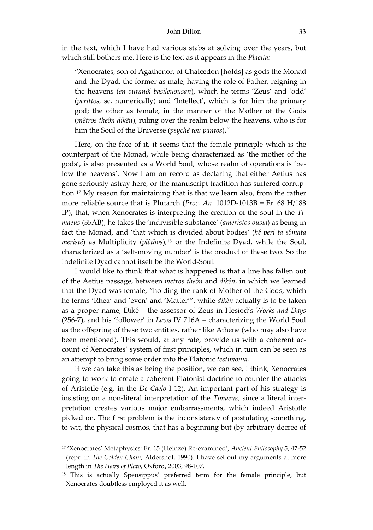in the text, which I have had various stabs at solving over the years, but which still bothers me. Here is the text as it appears in the *Placita:*

"Xenocrates, son of Agathenor, of Chalcedon [holds] as gods the Monad and the Dyad, the former as male, having the role of Father, reigning in the heavens (*en ouranôi basileuousan*), which he terms 'Zeus' and 'odd' (*perittos,* sc. numerically) and 'Intellect', which is for him the primary god; the other as female, in the manner of the Mother of the Gods (*mêtros theôn dikên*), ruling over the realm below the heavens, who is for him the Soul of the Universe (*psychê tou pantos*)."

Here, on the face of it, it seems that the female principle which is the counterpart of the Monad, while being characterized as 'the mother of the gods', is also presented as a World Soul, whose realm of operations is 'below the heavens'. Now I am on record as declaring that either Aetius has gone seriously astray here, or the manuscript tradition has suffered corruption.17 My reason for maintaining that is that we learn also, from the rather more reliable source that is Plutarch (*Proc. An.* 1012D-1013B = Fr. 68 H/188 IP), that, when Xenocrates is interpreting the creation of the soul in the *Timaeus* (35AB), he takes the 'indivisible substance' (*ameristos ousia*) as being in fact the Monad, and 'that which is divided about bodies' (*hê peri ta sômata meristê*) as Multiplicity (*plêthos*),<sup>18</sup> or the Indefinite Dyad, while the Soul, characterized as a 'self-moving number' is the product of these two. So the Indefinite Dyad cannot itself be the World-Soul.

I would like to think that what is happened is that a line has fallen out of the Aetius passage, between *metros theôn* and *dikên,* in which we learned that the Dyad was female, "holding the rank of Mother of the Gods, which he terms 'Rhea' and 'even' and 'Matter'", while *dikên* actually is to be taken as a proper name, Dikê – the assessor of Zeus in Hesiod's *Works and Days* (256Ȭ7), and his 'follower' in *Laws* IV 716A – characterizing the World Soul as the offspring of these two entities, rather like Athene (who may also have been mentioned). This would, at any rate, provide us with a coherent account of Xenocrates' system of first principles, which in turn can be seen as an attempt to bring some order into the Platonic *testimonia.*

If we can take this as being the position, we can see, I think, Xenocrates going to work to create a coherent Platonist doctrine to counter the attacks of Aristotle (e.g. in the *De Caelo* I 12). An important part of his strategy is insisting on a non-literal interpretation of the *Timaeus*, since a literal interpretation creates various major embarrassments, which indeed Aristotle picked on. The first problem is the inconsistency of postulating something, to wit, the physical cosmos, that has a beginning but (by arbitrary decree of

<sup>&</sup>lt;sup>17</sup> 'Xenocrates' Metaphysics: Fr. 15 (Heinze) Re-examined', *Ancient Philosophy* 5, 47-52 (repr. in *The Golden Chain,* Aldershot, 1990). I have set out my arguments at more length in *The Heirs of Plato*, Oxford, 2003, 98-107.

<sup>&</sup>lt;sup>18</sup> This is actually Speusippus' preferred term for the female principle, but Xenocrates doubtless employed it as well.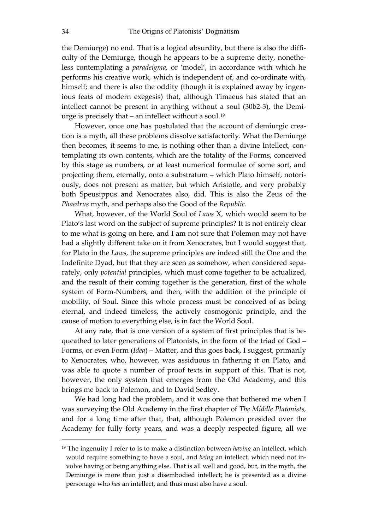the Demiurge) no end. That is a logical absurdity, but there is also the difficulty of the Demiurge, though he appears to be a supreme deity, nonetheless contemplating a *paradeigma,* or 'model', in accordance with which he performs his creative work, which is independent of, and co-ordinate with, himself; and there is also the oddity (though it is explained away by ingenious feats of modern exegesis) that, although Timaeus has stated that an intellect cannot be present in anything without a soul (30b2-3), the Demiurge is precisely that – an intellect without a soul.19

However, once one has postulated that the account of demiurgic creation is a myth, all these problems dissolve satisfactorily. What the Demiurge then becomes, it seems to me, is nothing other than a divine Intellect, contemplating its own contents, which are the totality of the Forms, conceived by this stage as numbers, or at least numerical formulae of some sort, and projecting them, eternally, onto a substratum – which Plato himself, notoriously, does not present as matter, but which Aristotle, and very probably both Speusippus and Xenocrates also, did. This is also the Zeus of the *Phaedrus* myth, and perhaps also the Good of the *Republic.*

What, however, of the World Soul of *Laws* X, which would seem to be Plato's last word on the subject of supreme principles? It is not entirely clear to me what is going on here, and I am not sure that Polemon may not have had a slightly different take on it from Xenocrates, but I would suggest that, for Plato in the *Laws,* the supreme principles are indeed still the One and the Indefinite Dyad, but that they are seen as somehow, when considered separately, only *potential* principles, which must come together to be actualized, and the result of their coming together is the generation, first of the whole system of Form-Numbers, and then, with the addition of the principle of mobility, of Soul. Since this whole process must be conceived of as being eternal, and indeed timeless, the actively cosmogonic principle, and the cause of motion to everything else, is in fact the World Soul.

At any rate, that is one version of a system of first principles that is bequeathed to later generations of Platonists, in the form of the triad of God – Forms, or even Form (*Idea*) – Matter, and this goes back, I suggest, primarily to Xenocrates, who, however, was assiduous in fathering it on Plato, and was able to quote a number of proof texts in support of this. That is not, however, the only system that emerges from the Old Academy, and this brings me back to Polemon, and to David Sedley.

We had long had the problem, and it was one that bothered me when I was surveying the Old Academy in the first chapter of *The Middle Platonists,* and for a long time after that, that, although Polemon presided over the Academy for fully forty years, and was a deeply respected figure, all we

<sup>19</sup> The ingenuity I refer to is to make a distinction between *having* an intellect, which would require something to have a soul, and *being* an intellect, which need not involve having or being anything else. That is all well and good, but, in the myth, the Demiurge is more than just a disembodied intellect; he is presented as a divine personage who *has* an intellect, and thus must also have a soul.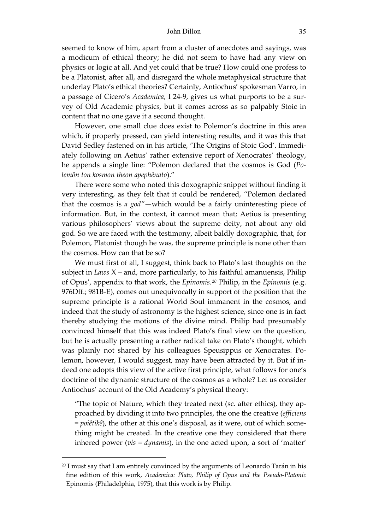seemed to know of him, apart from a cluster of anecdotes and sayings, was a modicum of ethical theory; he did not seem to have had any view on physics or logic at all. And yet could that be true? How could one profess to be a Platonist, after all, and disregard the whole metaphysical structure that underlay Plato's ethical theories? Certainly, Antiochus' spokesman Varro, in a passage of Cicero's *Academica*, I 24-9, gives us what purports to be a survey of Old Academic physics, but it comes across as so palpably Stoic in content that no one gave it a second thought.

However, one small clue does exist to Polemon's doctrine in this area which, if properly pressed, can yield interesting results, and it was this that David Sedley fastened on in his article, 'The Origins of Stoic God'. Immediately following on Aetius' rather extensive report of Xenocrates' theology, he appends a single line: "Polemon declared that the cosmos is God (*Polemôn ton kosmon theon apephênato*)."

There were some who noted this doxographic snippet without finding it very interesting, as they felt that it could be rendered, "Polemon declared that the cosmos is *a god"*—which would be a fairly uninteresting piece of information. But, in the context, it cannot mean that; Aetius is presenting various philosophers' views about the supreme deity, not about any old god. So we are faced with the testimony, albeit baldly doxographic, that, for Polemon, Platonist though he was, the supreme principle is none other than the cosmos. How can that be so?

We must first of all, I suggest, think back to Plato's last thoughts on the subject in *Laws* X – and, more particularly, to his faithful amanuensis, Philip of Opus', appendix to that work, the *Epinomis.20* Philip, in the *Epinomis* (e.g. 976Dff.; 981BȬE)*,* comes out unequivocally in support of the position that the supreme principle is a rational World Soul immanent in the cosmos, and indeed that the study of astronomy is the highest science, since one is in fact thereby studying the motions of the divine mind. Philip had presumably convinced himself that this was indeed Plato's final view on the question, but he is actually presenting a rather radical take on Plato's thought, which was plainly not shared by his colleagues Speusippus or Xenocrates. Polemon, however, I would suggest, may have been attracted by it. But if indeed one adopts this view of the active first principle, what follows for one's doctrine of the dynamic structure of the cosmos as a whole? Let us consider Antiochus' account of the Old Academy's physical theory:

"The topic of Nature, which they treated next (sc. after ethics), they approached by dividing it into two principles, the one the creative (*efficiens = poiêtikê*), the other at this one's disposal, as it were, out of which something might be created. In the creative one they considered that there inhered power (*vis* = *dynamis*), in the one acted upon, a sort of 'matter'

 $20$  I must say that I am entirely convinced by the arguments of Leonardo Tarán in his fine edition of this work, *Academica: Plato, Philip of Opus and the PseudoȬPlatonic* Epinomis (Philadelphia, 1975), that this work is by Philip.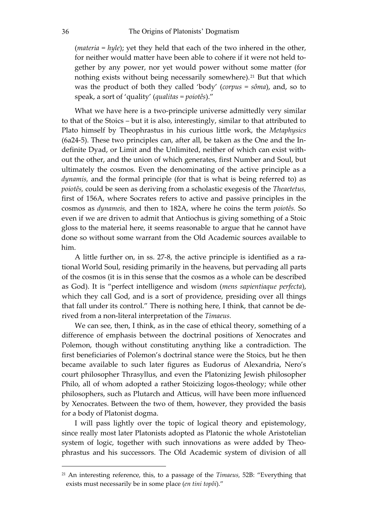(*materia = hyle*); yet they held that each of the two inhered in the other, for neither would matter have been able to cohere if it were not held together by any power, nor yet would power without some matter (for nothing exists without being necessarily somewhere).<sup>21</sup> But that which was the product of both they called 'body' (*corpus = sôma*), and, so to speak, a sort of 'quality' (*qualitas = poiotês*)."

What we have here is a two-principle universe admittedly very similar to that of the Stoics – but it is also, interestingly, similar to that attributed to Plato himself by Theophrastus in his curious little work, the *Metaphysics*  $(6a24-5)$ . These two principles can, after all, be taken as the One and the Indefinite Dyad, or Limit and the Unlimited, neither of which can exist without the other, and the union of which generates, first Number and Soul, but ultimately the cosmos. Even the denominating of the active principle as a *dynamis,* and the formal principle (for that is what is being referred to) as *poiotês,* could be seen as deriving from a scholastic exegesis of the *Theaetetus,* first of 156A, where Socrates refers to active and passive principles in the cosmos as *dynameis,* and then to 182A, where he coins the term *poiotês.* So even if we are driven to admit that Antiochus is giving something of a Stoic gloss to the material here, it seems reasonable to argue that he cannot have done so without some warrant from the Old Academic sources available to him.

A little further on, in ss. 27-8, the active principle is identified as a rational World Soul, residing primarily in the heavens, but pervading all parts of the cosmos (it is in this sense that the cosmos as a whole can be described as God). It is "perfect intelligence and wisdom (*mens sapientiaque perfecta*), which they call God, and is a sort of providence, presiding over all things that fall under its control." There is nothing here, I think, that cannot be derived from a nonȬliteral interpretation of the *Timaeus.*

We can see, then, I think, as in the case of ethical theory, something of a difference of emphasis between the doctrinal positions of Xenocrates and Polemon, though without constituting anything like a contradiction. The first beneficiaries of Polemon's doctrinal stance were the Stoics, but he then became available to such later figures as Eudorus of Alexandria, Nero's court philosopher Thrasyllus, and even the Platonizing Jewish philosopher Philo, all of whom adopted a rather Stoicizing logos-theology; while other philosophers, such as Plutarch and Atticus, will have been more influenced by Xenocrates. Between the two of them, however, they provided the basis for a body of Platonist dogma.

I will pass lightly over the topic of logical theory and epistemology, since really most later Platonists adopted as Platonic the whole Aristotelian system of logic, together with such innovations as were added by Theophrastus and his successors. The Old Academic system of division of all

<sup>21</sup> An interesting reference, this, to a passage of the *Timaeus,* 52B: "Everything that exists must necessarily be in some place (*en tini topôi*)."